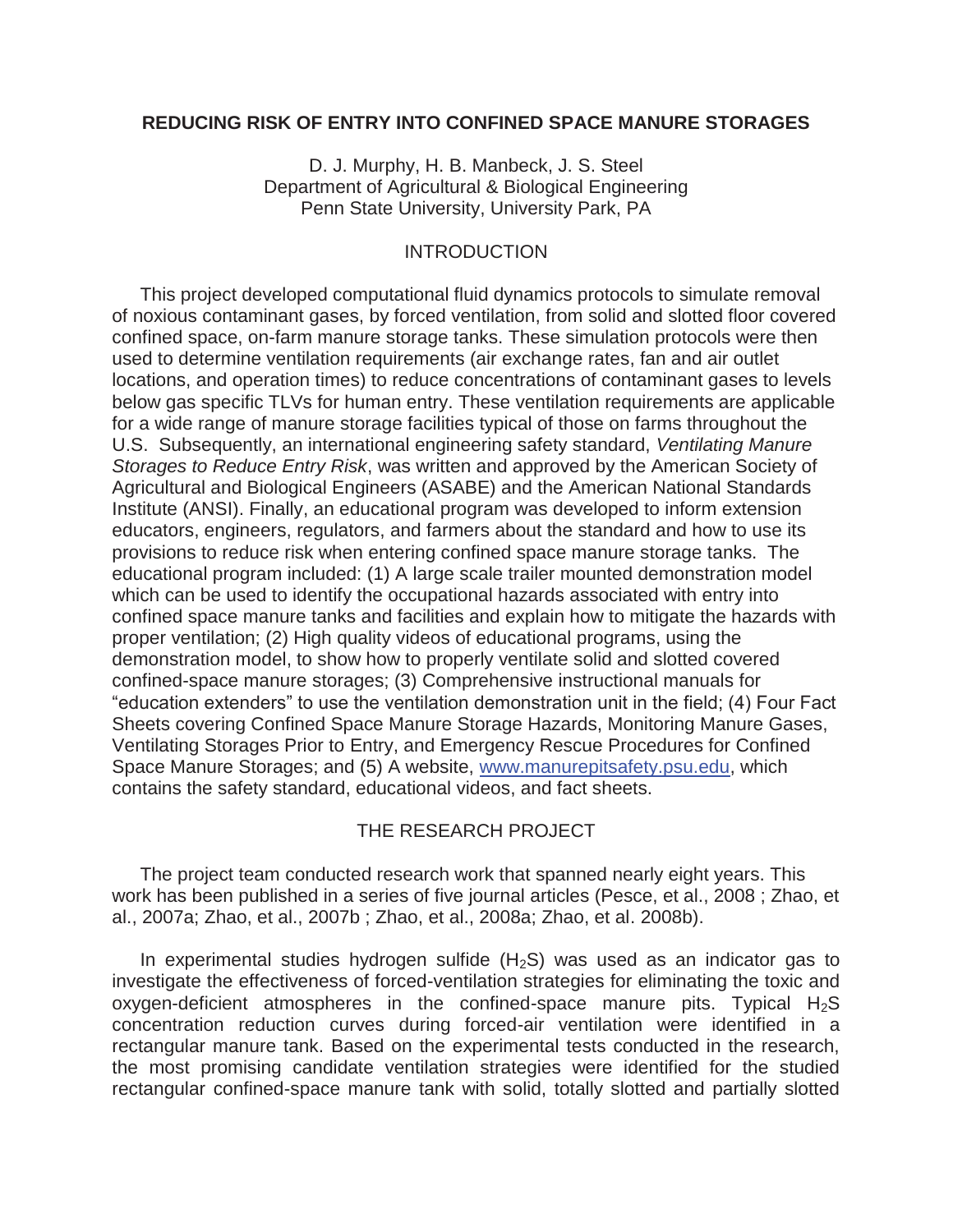### **REDUCING RISK OF ENTRY INTO CONFINED SPACE MANURE STORAGES**

D. J. Murphy, H. B. Manbeck, J. S. Steel Department of Agricultural & Biological Engineering Penn State University, University Park, PA

### INTRODUCTION

 This project developed computational fluid dynamics protocols to simulate removal of noxious contaminant gases, by forced ventilation, from solid and slotted floor covered confined space, on-farm manure storage tanks. These simulation protocols were then used to determine ventilation requirements (air exchange rates, fan and air outlet locations, and operation times) to reduce concentrations of contaminant gases to levels below gas specific TLVs for human entry. These ventilation requirements are applicable for a wide range of manure storage facilities typical of those on farms throughout the U.S. Subsequently, an international engineering safety standard, *Ventilating Manure Storages to Reduce Entry Risk*, was written and approved by the American Society of Agricultural and Biological Engineers (ASABE) and the American National Standards Institute (ANSI). Finally, an educational program was developed to inform extension educators, engineers, regulators, and farmers about the standard and how to use its provisions to reduce risk when entering confined space manure storage tanks. The educational program included: (1) A large scale trailer mounted demonstration model which can be used to identify the occupational hazards associated with entry into confined space manure tanks and facilities and explain how to mitigate the hazards with proper ventilation; (2) High quality videos of educational programs, using the demonstration model, to show how to properly ventilate solid and slotted covered confined-space manure storages; (3) Comprehensive instructional manuals for "education extenders" to use the ventilation demonstration unit in the field; (4) Four Fact Sheets covering Confined Space Manure Storage Hazards, Monitoring Manure Gases, Ventilating Storages Prior to Entry, and Emergency Rescue Procedures for Confined Space Manure Storages; and (5) A website, www.manurepitsafety.psu.edu, which contains the safety standard, educational videos, and fact sheets.

### THE RESEARCH PROJECT

 The project team conducted research work that spanned nearly eight years. This work has been published in a series of five journal articles (Pesce, et al., 2008 ; Zhao, et al., 2007a; Zhao, et al., 2007b ; Zhao, et al., 2008a; Zhao, et al. 2008b).

In experimental studies hydrogen sulfide  $(H<sub>2</sub>S)$  was used as an indicator gas to investigate the effectiveness of forced-ventilation strategies for eliminating the toxic and oxygen-deficient atmospheres in the confined-space manure pits. Typical  $H_2S$ concentration reduction curves during forced-air ventilation were identified in a rectangular manure tank. Based on the experimental tests conducted in the research, the most promising candidate ventilation strategies were identified for the studied rectangular confined-space manure tank with solid, totally slotted and partially slotted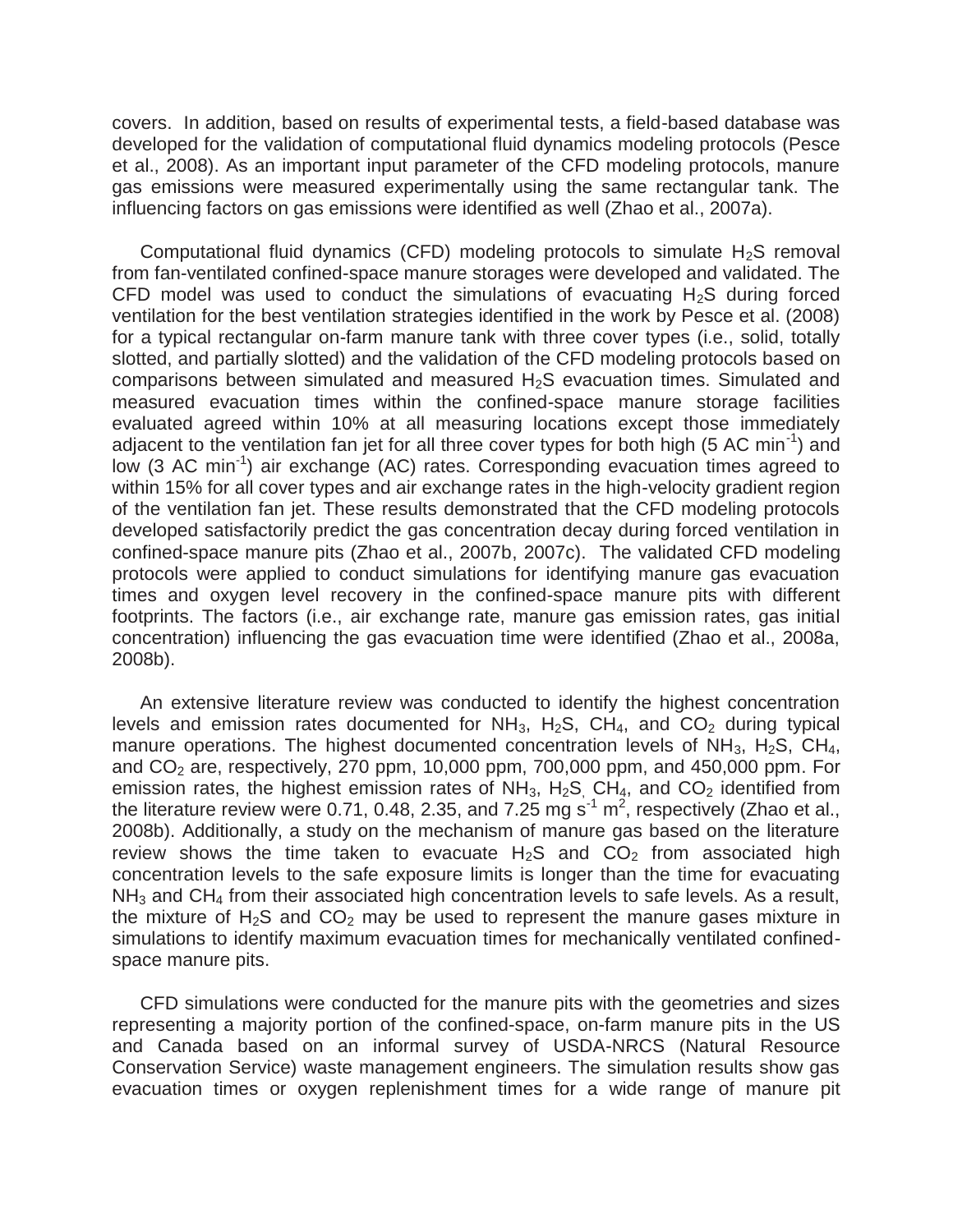covers. In addition, based on results of experimental tests, a field-based database was developed for the validation of computational fluid dynamics modeling protocols (Pesce et al., 2008). As an important input parameter of the CFD modeling protocols, manure gas emissions were measured experimentally using the same rectangular tank. The influencing factors on gas emissions were identified as well (Zhao et al., 2007a).

Computational fluid dynamics (CFD) modeling protocols to simulate  $H_2S$  removal from fan-ventilated confined-space manure storages were developed and validated. The CFD model was used to conduct the simulations of evacuating  $H<sub>2</sub>S$  during forced ventilation for the best ventilation strategies identified in the work by Pesce et al. (2008) for a typical rectangular on-farm manure tank with three cover types (i.e., solid, totally slotted, and partially slotted) and the validation of the CFD modeling protocols based on comparisons between simulated and measured H2S evacuation times. Simulated and measured evacuation times within the confined-space manure storage facilities evaluated agreed within 10% at all measuring locations except those immediately adjacent to the ventilation fan jet for all three cover types for both high (5 AC min<sup>-1</sup>) and low (3 AC min<sup>-1</sup>) air exchange (AC) rates. Corresponding evacuation times agreed to within 15% for all cover types and air exchange rates in the high-velocity gradient region of the ventilation fan jet. These results demonstrated that the CFD modeling protocols developed satisfactorily predict the gas concentration decay during forced ventilation in confined-space manure pits (Zhao et al., 2007b, 2007c). The validated CFD modeling protocols were applied to conduct simulations for identifying manure gas evacuation times and oxygen level recovery in the confined-space manure pits with different footprints. The factors (i.e., air exchange rate, manure gas emission rates, gas initial concentration) influencing the gas evacuation time were identified (Zhao et al., 2008a, 2008b).

 An extensive literature review was conducted to identify the highest concentration levels and emission rates documented for  $NH_3$ ,  $H_2S$ ,  $CH_4$ , and  $CO_2$  during typical manure operations. The highest documented concentration levels of  $NH_3$ ,  $H_2S$ , CH<sub>4</sub>, and  $CO<sub>2</sub>$  are, respectively, 270 ppm, 10,000 ppm, 700,000 ppm, and 450,000 ppm. For emission rates, the highest emission rates of  $NH_3$ ,  $H_2S$ ,  $CH_4$ , and  $CO_2$  identified from the literature review were 0.71, 0.48, 2.35, and 7.25 mg s<sup>-1</sup> m<sup>2</sup>, respectively (Zhao et al., 2008b). Additionally, a study on the mechanism of manure gas based on the literature review shows the time taken to evacuate  $H_2S$  and  $CO_2$  from associated high concentration levels to the safe exposure limits is longer than the time for evacuating  $NH<sub>3</sub>$  and CH<sub>4</sub> from their associated high concentration levels to safe levels. As a result, the mixture of  $H_2S$  and  $CO_2$  may be used to represent the manure gases mixture in simulations to identify maximum evacuation times for mechanically ventilated confinedspace manure pits.

 CFD simulations were conducted for the manure pits with the geometries and sizes representing a majority portion of the confined-space, on-farm manure pits in the US and Canada based on an informal survey of USDA-NRCS (Natural Resource Conservation Service) waste management engineers. The simulation results show gas evacuation times or oxygen replenishment times for a wide range of manure pit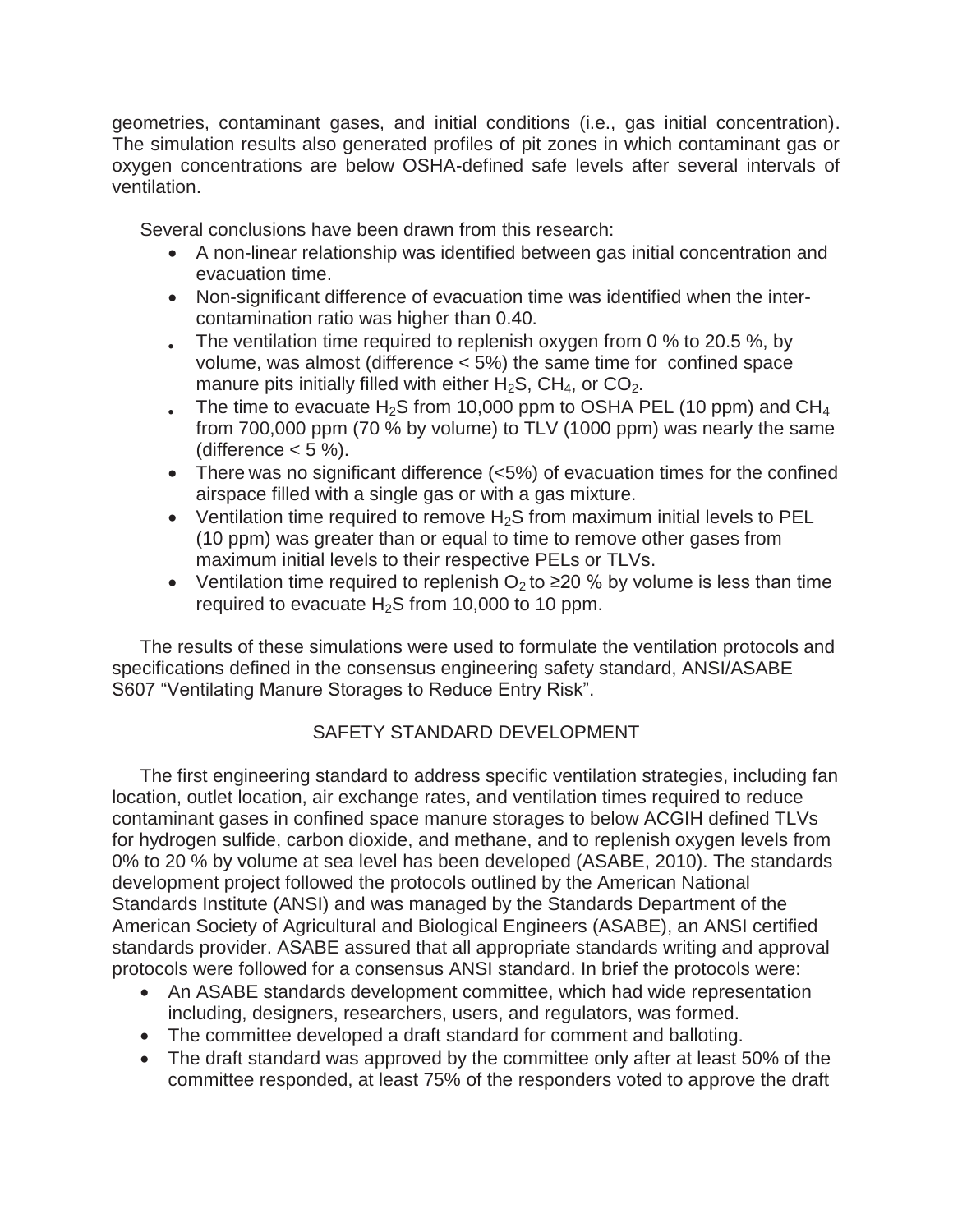geometries, contaminant gases, and initial conditions (i.e., gas initial concentration). The simulation results also generated profiles of pit zones in which contaminant gas or oxygen concentrations are below OSHA-defined safe levels after several intervals of ventilation.

Several conclusions have been drawn from this research:

- A non-linear relationship was identified between gas initial concentration and evacuation time.
- Non-significant difference of evacuation time was identified when the intercontamination ratio was higher than 0.40.
- Fig. The ventilation time required to replenish oxygen from 0  $\%$  to 20.5  $\%$ , by volume, was almost (difference < 5%) the same time for confined space manure pits initially filled with either  $H_2S$ , CH<sub>4</sub>, or CO<sub>2</sub>.
- Fig. The time to evacuate H<sub>2</sub>S from 10,000 ppm to OSHA PEL (10 ppm) and CH<sub>4</sub> from 700,000 ppm (70 % by volume) to TLV (1000 ppm) was nearly the same (difference  $< 5 \%$ ).
- There was no significant difference  $(<5%)$  of evacuation times for the confined airspace filled with a single gas or with a gas mixture.
- Ventilation time required to remove  $H_2S$  from maximum initial levels to PEL (10 ppm) was greater than or equal to time to remove other gases from maximum initial levels to their respective PELs or TLVs.
- Ventilation time required to replenish  $O_2$  to  $\geq$  20 % by volume is less than time required to evacuate  $H_2S$  from 10,000 to 10 ppm.

 The results of these simulations were used to formulate the ventilation protocols and specifications defined in the consensus engineering safety standard, ANSI/ASABE S607 "Ventilating Manure Storages to Reduce Entry Risk".

# SAFETY STANDARD DEVELOPMENT

 The first engineering standard to address specific ventilation strategies, including fan location, outlet location, air exchange rates, and ventilation times required to reduce contaminant gases in confined space manure storages to below ACGIH defined TLVs for hydrogen sulfide, carbon dioxide, and methane, and to replenish oxygen levels from 0% to 20 % by volume at sea level has been developed (ASABE, 2010). The standards development project followed the protocols outlined by the American National Standards Institute (ANSI) and was managed by the Standards Department of the American Society of Agricultural and Biological Engineers (ASABE), an ANSI certified standards provider. ASABE assured that all appropriate standards writing and approval protocols were followed for a consensus ANSI standard. In brief the protocols were:

- An ASABE standards development committee, which had wide representation including, designers, researchers, users, and regulators, was formed.
- The committee developed a draft standard for comment and balloting.
- The draft standard was approved by the committee only after at least 50% of the committee responded, at least 75% of the responders voted to approve the draft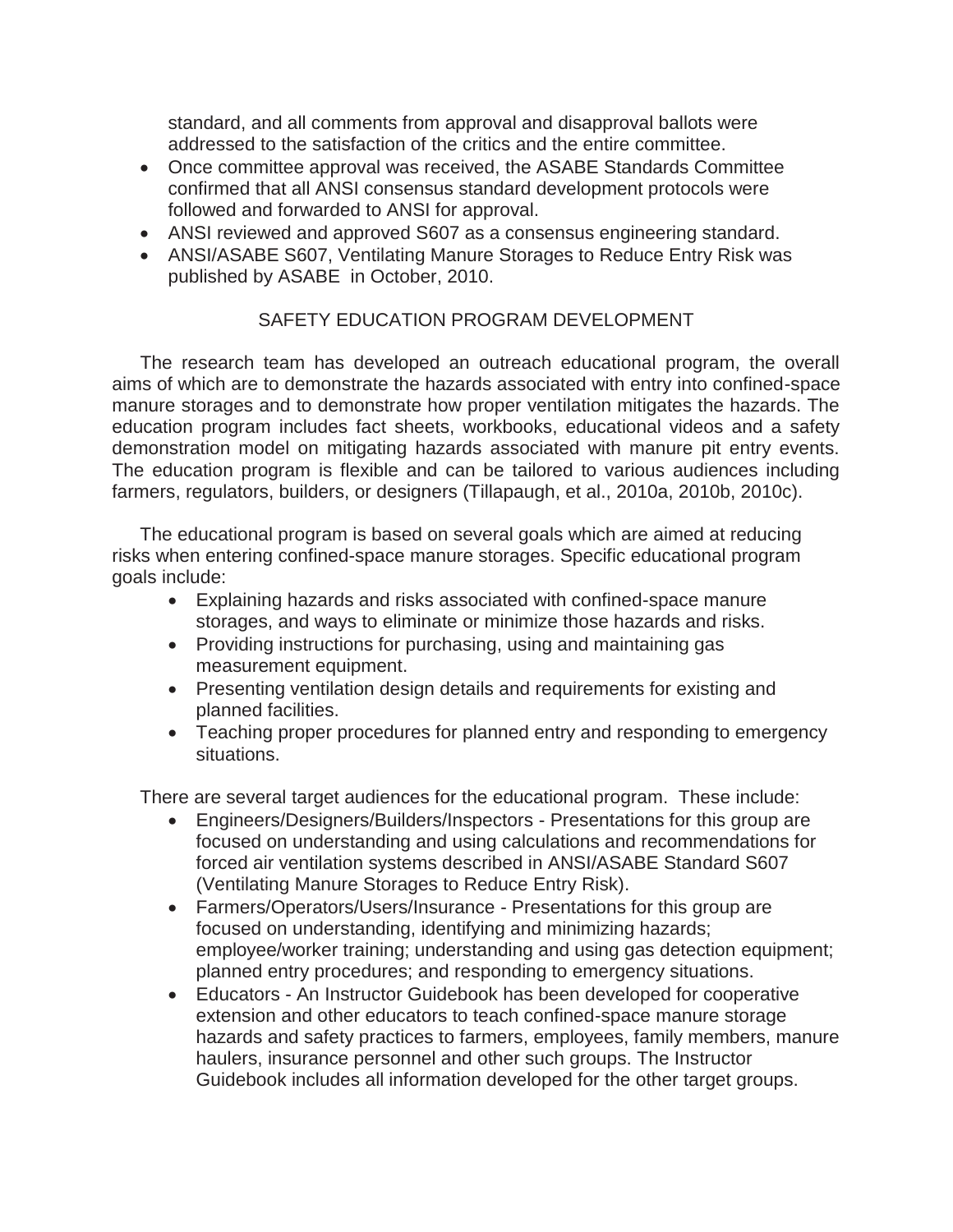standard, and all comments from approval and disapproval ballots were addressed to the satisfaction of the critics and the entire committee.

- Once committee approval was received, the ASABE Standards Committee confirmed that all ANSI consensus standard development protocols were followed and forwarded to ANSI for approval.
- ANSI reviewed and approved S607 as a consensus engineering standard.
- ANSI/ASABE S607, Ventilating Manure Storages to Reduce Entry Risk was published by ASABE in October, 2010.

## SAFETY EDUCATION PROGRAM DEVELOPMENT

 The research team has developed an outreach educational program, the overall aims of which are to demonstrate the hazards associated with entry into confined-space manure storages and to demonstrate how proper ventilation mitigates the hazards. The education program includes fact sheets, workbooks, educational videos and a safety demonstration model on mitigating hazards associated with manure pit entry events. The education program is flexible and can be tailored to various audiences including farmers, regulators, builders, or designers (Tillapaugh, et al., 2010a, 2010b, 2010c).

The educational program is based on several goals which are aimed at reducing risks when entering confined-space manure storages. Specific educational program goals include:

- Explaining hazards and risks associated with confined-space manure storages, and ways to eliminate or minimize those hazards and risks.
- Providing instructions for purchasing, using and maintaining gas measurement equipment.
- Presenting ventilation design details and requirements for existing and planned facilities.
- Teaching proper procedures for planned entry and responding to emergency situations.

There are several target audiences for the educational program. These include:

- Engineers/Designers/Builders/Inspectors Presentations for this group are focused on understanding and using calculations and recommendations for forced air ventilation systems described in ANSI/ASABE Standard S607 (Ventilating Manure Storages to Reduce Entry Risk).
- Farmers/Operators/Users/Insurance Presentations for this group are focused on understanding, identifying and minimizing hazards; employee/worker training; understanding and using gas detection equipment; planned entry procedures; and responding to emergency situations.
- Educators An Instructor Guidebook has been developed for cooperative extension and other educators to teach confined-space manure storage hazards and safety practices to farmers, employees, family members, manure haulers, insurance personnel and other such groups. The Instructor Guidebook includes all information developed for the other target groups.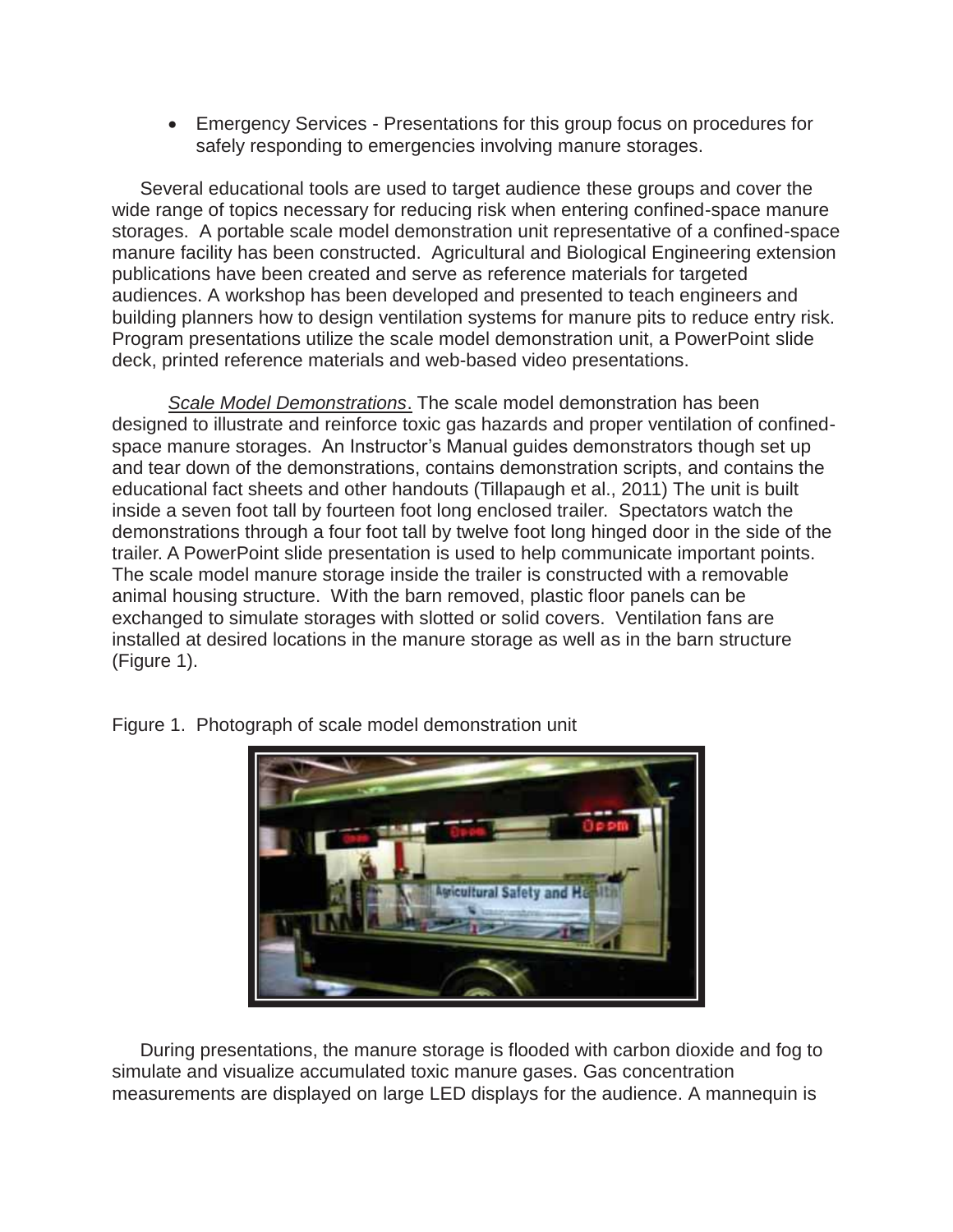**Emergency Services - Presentations for this group focus on procedures for** safely responding to emergencies involving manure storages.

 Several educational tools are used to target audience these groups and cover the wide range of topics necessary for reducing risk when entering confined-space manure storages. A portable scale model demonstration unit representative of a confined-space manure facility has been constructed. Agricultural and Biological Engineering extension publications have been created and serve as reference materials for targeted audiences. A workshop has been developed and presented to teach engineers and building planners how to design ventilation systems for manure pits to reduce entry risk. Program presentations utilize the scale model demonstration unit, a PowerPoint slide deck, printed reference materials and web-based video presentations.

 *Scale Model Demonstrations*. The scale model demonstration has been designed to illustrate and reinforce toxic gas hazards and proper ventilation of confinedspace manure storages. An Instructor's Manual guides demonstrators though set up and tear down of the demonstrations, contains demonstration scripts, and contains the educational fact sheets and other handouts (Tillapaugh et al., 2011) The unit is built inside a seven foot tall by fourteen foot long enclosed trailer. Spectators watch the demonstrations through a four foot tall by twelve foot long hinged door in the side of the trailer. A PowerPoint slide presentation is used to help communicate important points. The scale model manure storage inside the trailer is constructed with a removable animal housing structure. With the barn removed, plastic floor panels can be exchanged to simulate storages with slotted or solid covers. Ventilation fans are installed at desired locations in the manure storage as well as in the barn structure (Figure 1).



Figure 1. Photograph of scale model demonstration unit

 During presentations, the manure storage is flooded with carbon dioxide and fog to simulate and visualize accumulated toxic manure gases. Gas concentration measurements are displayed on large LED displays for the audience. A mannequin is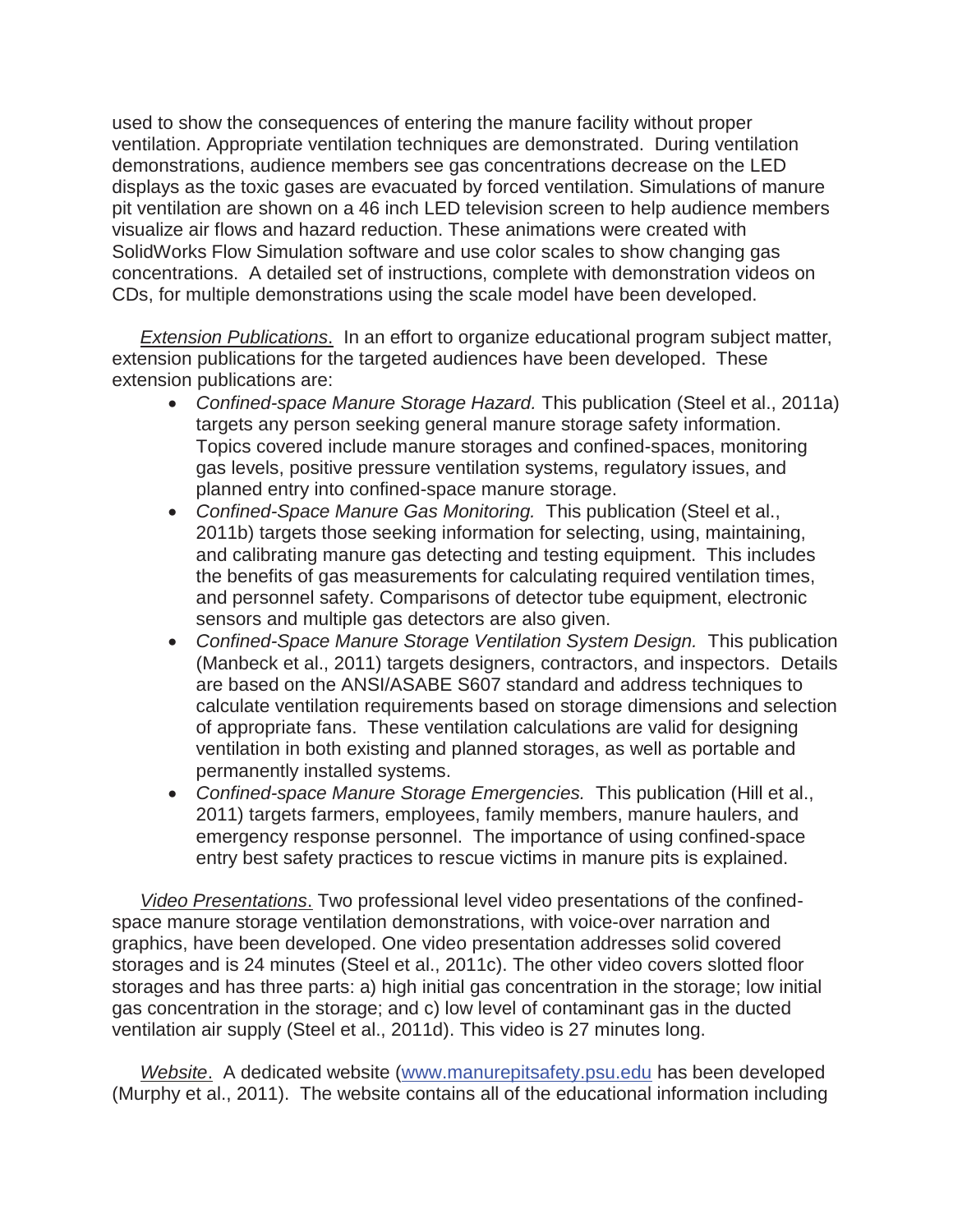used to show the consequences of entering the manure facility without proper ventilation. Appropriate ventilation techniques are demonstrated. During ventilation demonstrations, audience members see gas concentrations decrease on the LED displays as the toxic gases are evacuated by forced ventilation. Simulations of manure pit ventilation are shown on a 46 inch LED television screen to help audience members visualize air flows and hazard reduction. These animations were created with SolidWorks Flow Simulation software and use color scales to show changing gas concentrations. A detailed set of instructions, complete with demonstration videos on CDs, for multiple demonstrations using the scale model have been developed.

*Extension Publications*. In an effort to organize educational program subject matter, extension publications for the targeted audiences have been developed. These extension publications are:

- Confined-space Manure Storage Hazard. This publication (Steel et al., 2011a) targets any person seeking general manure storage safety information. Topics covered include manure storages and confined-spaces, monitoring gas levels, positive pressure ventilation systems, regulatory issues, and planned entry into confined-space manure storage.
- Confined-Space Manure Gas Monitoring. This publication (Steel et al., 2011b) targets those seeking information for selecting, using, maintaining, and calibrating manure gas detecting and testing equipment. This includes the benefits of gas measurements for calculating required ventilation times, and personnel safety. Comparisons of detector tube equipment, electronic sensors and multiple gas detectors are also given.
- **Confined-Space Manure Storage Ventilation System Design. This publication** (Manbeck et al., 2011) targets designers, contractors, and inspectors. Details are based on the ANSI/ASABE S607 standard and address techniques to calculate ventilation requirements based on storage dimensions and selection of appropriate fans. These ventilation calculations are valid for designing ventilation in both existing and planned storages, as well as portable and permanently installed systems.
- x *Confined-space Manure Storage Emergencies.* This publication (Hill et al., 2011) targets farmers, employees, family members, manure haulers, and emergency response personnel. The importance of using confined-space entry best safety practices to rescue victims in manure pits is explained.

*Video Presentations*. Two professional level video presentations of the confinedspace manure storage ventilation demonstrations, with voice-over narration and graphics, have been developed. One video presentation addresses solid covered storages and is 24 minutes (Steel et al., 2011c). The other video covers slotted floor storages and has three parts: a) high initial gas concentration in the storage; low initial gas concentration in the storage; and c) low level of contaminant gas in the ducted ventilation air supply (Steel et al., 2011d). This video is 27 minutes long.

*Website*. A dedicated website (www.manurepitsafety.psu.edu has been developed (Murphy et al., 2011). The website contains all of the educational information including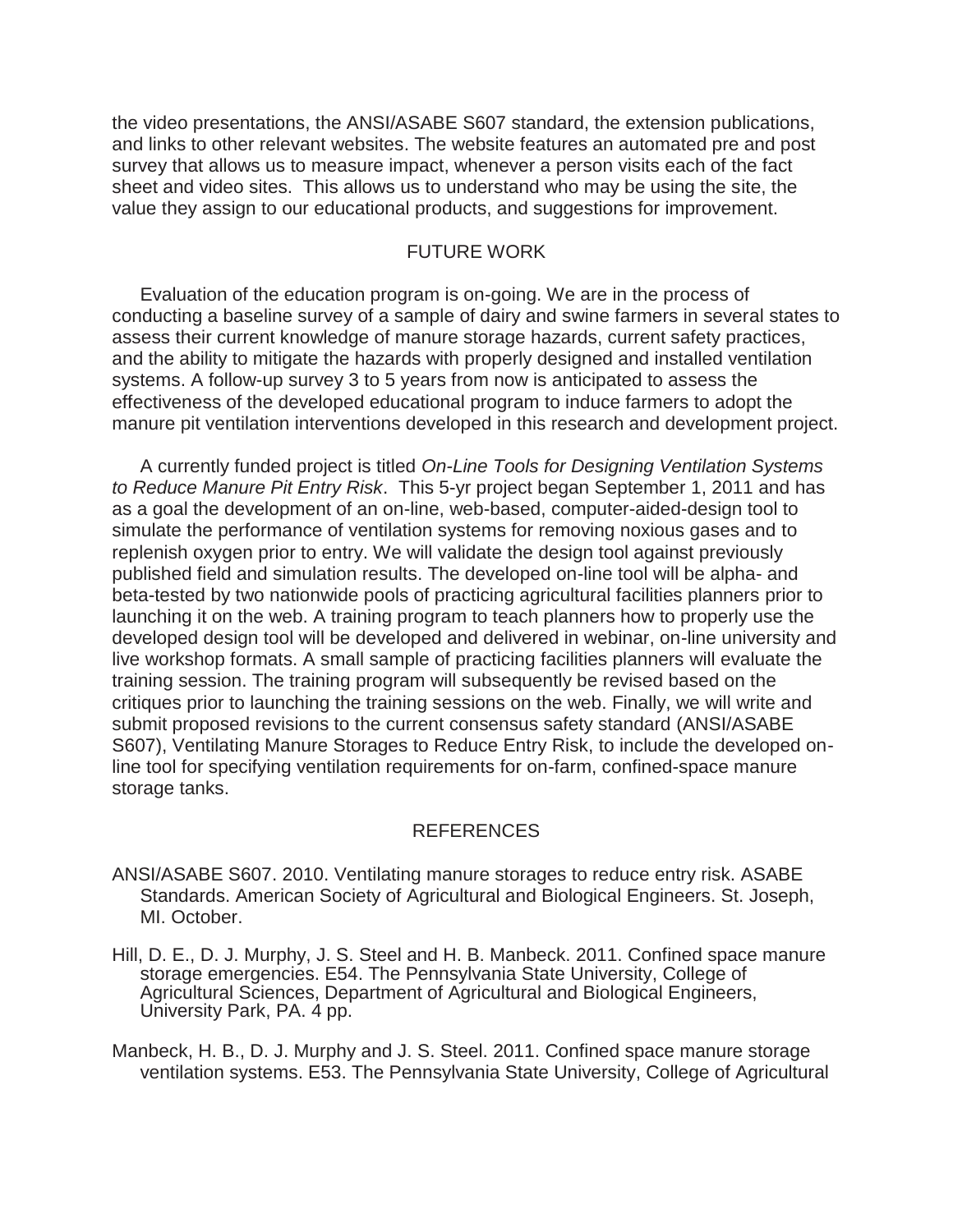the video presentations, the ANSI/ASABE S607 standard, the extension publications, and links to other relevant websites. The website features an automated pre and post survey that allows us to measure impact, whenever a person visits each of the fact sheet and video sites. This allows us to understand who may be using the site, the value they assign to our educational products, and suggestions for improvement.

## FUTURE WORK

 Evaluation of the education program is on-going. We are in the process of conducting a baseline survey of a sample of dairy and swine farmers in several states to assess their current knowledge of manure storage hazards, current safety practices, and the ability to mitigate the hazards with properly designed and installed ventilation systems. A follow-up survey 3 to 5 years from now is anticipated to assess the effectiveness of the developed educational program to induce farmers to adopt the manure pit ventilation interventions developed in this research and development project.

 A currently funded project is titled *On-Line Tools for Designing Ventilation Systems to Reduce Manure Pit Entry Risk*. This 5-yr project began September 1, 2011 and has as a goal the development of an on-line, web-based, computer-aided-design tool to simulate the performance of ventilation systems for removing noxious gases and to replenish oxygen prior to entry. We will validate the design tool against previously published field and simulation results. The developed on-line tool will be alpha- and beta-tested by two nationwide pools of practicing agricultural facilities planners prior to launching it on the web. A training program to teach planners how to properly use the developed design tool will be developed and delivered in webinar, on-line university and live workshop formats. A small sample of practicing facilities planners will evaluate the training session. The training program will subsequently be revised based on the critiques prior to launching the training sessions on the web. Finally, we will write and submit proposed revisions to the current consensus safety standard (ANSI/ASABE S607), Ventilating Manure Storages to Reduce Entry Risk, to include the developed online tool for specifying ventilation requirements for on-farm, confined-space manure storage tanks.

#### REFERENCES

- ANSI/ASABE S607. 2010. Ventilating manure storages to reduce entry risk. ASABE Standards. American Society of Agricultural and Biological Engineers. St. Joseph, MI. October.
- Hill, D. E., D. J. Murphy, J. S. Steel and H. B. Manbeck. 2011. Confined space manure storage emergencies. E54. The Pennsylvania State University, College of Agricultural Sciences, Department of Agricultural and Biological Engineers, University Park, PA. 4 pp.

Manbeck, H. B., D. J. Murphy and J. S. Steel. 2011. Confined space manure storage ventilation systems. E53. The Pennsylvania State University, College of Agricultural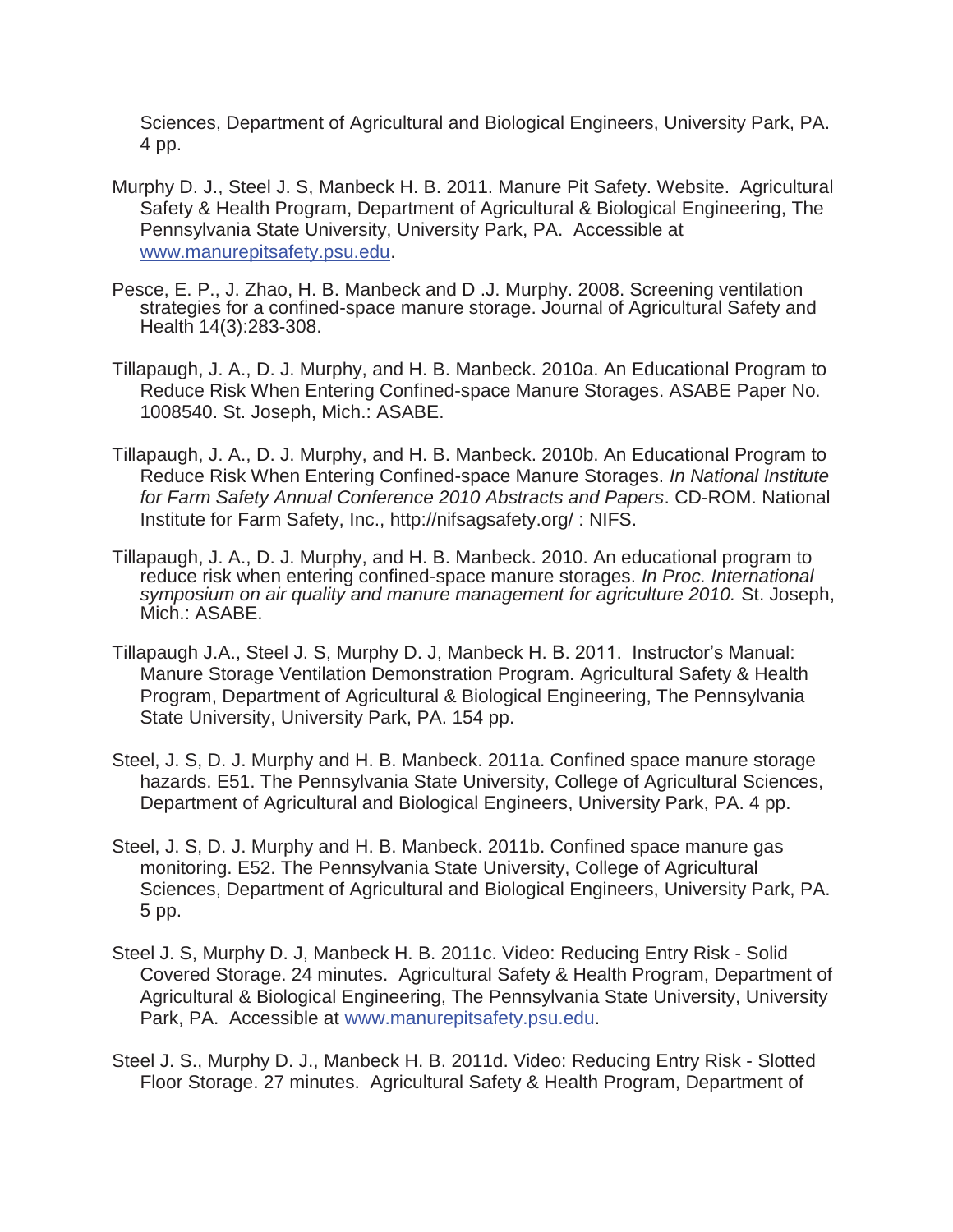Sciences, Department of Agricultural and Biological Engineers, University Park, PA. 4 pp.

- Murphy D. J., Steel J. S, Manbeck H. B. 2011. Manure Pit Safety. Website. Agricultural Safety & Health Program, Department of Agricultural & Biological Engineering, The Pennsylvania State University, University Park, PA. Accessible at www.manurepitsafety.psu.edu.
- Pesce, E. P., J. Zhao, H. B. Manbeck and D .J. Murphy. 2008. Screening ventilation strategies for a confined-space manure storage. Journal of Agricultural Safety and Health 14(3):283-308.
- Tillapaugh, J. A., D. J. Murphy, and H. B. Manbeck. 2010a. An Educational Program to Reduce Risk When Entering Confined-space Manure Storages. ASABE Paper No. 1008540. St. Joseph, Mich.: ASABE.
- Tillapaugh, J. A., D. J. Murphy, and H. B. Manbeck. 2010b. An Educational Program to Reduce Risk When Entering Confined-space Manure Storages. *In National Institute for Farm Safety Annual Conference 2010 Abstracts and Papers*. CD-ROM. National Institute for Farm Safety, Inc., http://nifsagsafety.org/ : NIFS.
- Tillapaugh, J. A., D. J. Murphy, and H. B. Manbeck. 2010. An educational program to reduce risk when entering confined-space manure storages. *In Proc. International symposium on air quality and manure management for agriculture 2010.* St. Joseph, Mich.: ASABE.
- Tillapaugh J.A., Steel J. S, Murphy D. J, Manbeck H. B. 2011. Instructor's Manual: Manure Storage Ventilation Demonstration Program. Agricultural Safety & Health Program, Department of Agricultural & Biological Engineering, The Pennsylvania State University, University Park, PA. 154 pp.
- Steel, J. S, D. J. Murphy and H. B. Manbeck. 2011a. Confined space manure storage hazards. E51. The Pennsylvania State University, College of Agricultural Sciences, Department of Agricultural and Biological Engineers, University Park, PA. 4 pp.
- Steel, J. S, D. J. Murphy and H. B. Manbeck. 2011b. Confined space manure gas monitoring. E52. The Pennsylvania State University, College of Agricultural Sciences, Department of Agricultural and Biological Engineers, University Park, PA. 5 pp.
- Steel J. S, Murphy D. J, Manbeck H. B. 2011c. Video: Reducing Entry Risk Solid Covered Storage. 24 minutes. Agricultural Safety & Health Program, Department of Agricultural & Biological Engineering, The Pennsylvania State University, University Park, PA. Accessible at www.manurepitsafety.psu.edu.
- Steel J. S., Murphy D. J., Manbeck H. B. 2011d. Video: Reducing Entry Risk Slotted Floor Storage. 27 minutes. Agricultural Safety & Health Program, Department of